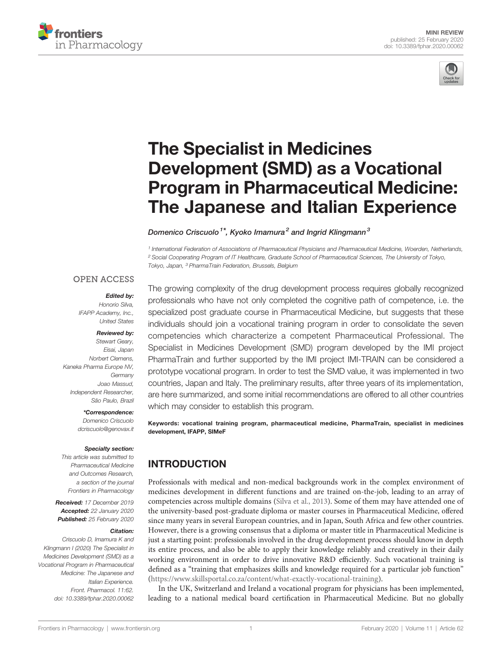



# [The Specialist in Medicines](https://www.frontiersin.org/articles/10.3389/fphar.2020.00062/full) [Development \(SMD\) as a Vocational](https://www.frontiersin.org/articles/10.3389/fphar.2020.00062/full) [Program in Pharmaceutical Medicine:](https://www.frontiersin.org/articles/10.3389/fphar.2020.00062/full) [The Japanese and Italian Experience](https://www.frontiersin.org/articles/10.3389/fphar.2020.00062/full)

[Domenico Criscuolo](https://loop.frontiersin.org/people/43810)<sup>1\*</sup>, [Kyoko Imamura](https://loop.frontiersin.org/people/382454)<sup>2</sup> and [Ingrid Klingmann](https://loop.frontiersin.org/people/108582)<sup>3</sup>

<sup>1</sup> International Federation of Associations of Pharmaceutical Physicians and Pharmaceutical Medicine, Woerden, Netherlands, <sup>2</sup> Social Cooperating Program of IT Healthcare, Graduate School of Pharmaceutical Sciences, The University of Tokyo, Tokyo, Japan, <sup>3</sup> PharmaTrain Federation, Brussels, Belgium

### **OPEN ACCESS**

### Edited by: Honorio Silva,

IFAPP Academy, Inc., United States

### Reviewed by:

Stewart Geary, Eisai, Japan Norbert Clemens, Kaneka Pharma Europe NV, Germany Joao Massud, Independent Researcher, São Paulo, Brazil

### \*Correspondence:

Domenico Criscuolo [dcriscuolo@genovax.it](mailto:dcriscuolo@genovax.it)

### Specialty section:

This article was submitted to Pharmaceutical Medicine and Outcomes Research, a section of the journal Frontiers in Pharmacology

Received: 17 December 2019 Accepted: 22 January 2020 Published: 25 February 2020

#### Citation:

Criscuolo D, Imamura K and Klingmann I (2020) The Specialist in Medicines Development (SMD) as a Vocational Program in Pharmaceutical Medicine: The Japanese and Italian Experience. Front. Pharmacol. 11:62. [doi: 10.3389/fphar.2020.00062](https://doi.org/10.3389/fphar.2020.00062)

The growing complexity of the drug development process requires globally recognized professionals who have not only completed the cognitive path of competence, i.e. the specialized post graduate course in Pharmaceutical Medicine, but suggests that these individuals should join a vocational training program in order to consolidate the seven competencies which characterize a competent Pharmaceutical Professional. The Specialist in Medicines Development (SMD) program developed by the IMI project PharmaTrain and further supported by the IMI project IMI-TRAIN can be considered a prototype vocational program. In order to test the SMD value, it was implemented in two countries, Japan and Italy. The preliminary results, after three years of its implementation, are here summarized, and some initial recommendations are offered to all other countries which may consider to establish this program.

Keywords: vocational training program, pharmaceutical medicine, PharmaTrain, specialist in medicines development, IFAPP, SIMeF

# INTRODUCTION

Professionals with medical and non-medical backgrounds work in the complex environment of medicines development in different functions and are trained on-the-job, leading to an array of competencies across multiple domains ([Silva et al., 2013\)](#page-3-0). Some of them may have attended one of the university-based post-graduate diploma or master courses in Pharmaceutical Medicine, offered since many years in several European countries, and in Japan, South Africa and few other countries. However, there is a growing consensus that a diploma or master title in Pharmaceutical Medicine is just a starting point: professionals involved in the drug development process should know in depth its entire process, and also be able to apply their knowledge reliably and creatively in their daily working environment in order to drive innovative R&D efficiently. Such vocational training is defined as a "training that emphasizes skills and knowledge required for a particular job function" [\(https://www.skillsportal.co.za/content/what-exactly-vocational-training\)](#page-3-0).

In the UK, Switzerland and Ireland a vocational program for physicians has been implemented, leading to a national medical board certification in Pharmaceutical Medicine. But no globally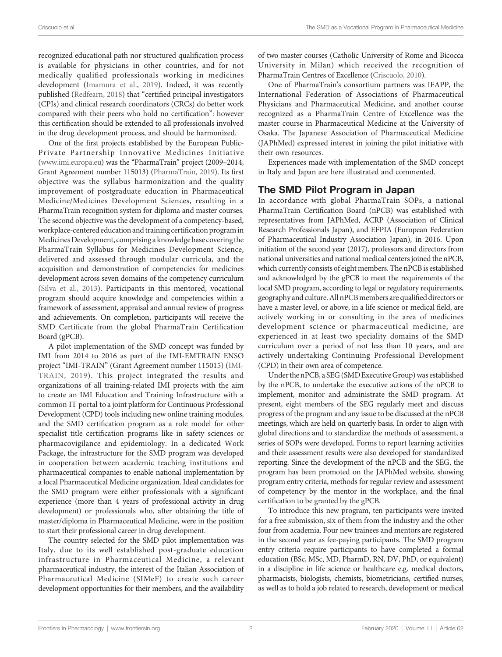recognized educational path nor structured qualification process is available for physicians in other countries, and for not medically qualified professionals working in medicines development [\(Imamura et al., 2019](#page-3-0)). Indeed, it was recently published ([Redfearn, 2018\)](#page-3-0) that "certified principal investigators (CPIs) and clinical research coordinators (CRCs) do better work compared with their peers who hold no certification": however this certification should be extended to all professionals involved in the drug development process, and should be harmonized.

One of the first projects established by the European Public-Private Partnership Innovative Medicines Initiative ([www.imi.europa.eu](#page-3-0)) was the "PharmaTrain" project (2009–2014, Grant Agreement number 115013) [\(PharmaTrain, 2019\)](#page-3-0). Its first objective was the syllabus harmonization and the quality improvement of postgraduate education in Pharmaceutical Medicine/Medicines Development Sciences, resulting in a PharmaTrain recognition system for diploma and master courses. The second objective was the development of a competency-based, workplace-centered education and training certification program in MedicinesDevelopment, comprising a knowledge base covering the PharmaTrain Syllabus for Medicines Development Science, delivered and assessed through modular curricula, and the acquisition and demonstration of competencies for medicines development across seven domains of the competency curriculum ([Silva et al., 2013\)](#page-3-0). Participants in this mentored, vocational program should acquire knowledge and competencies within a framework of assessment, appraisal and annual review of progress and achievements. On completion, participants will receive the SMD Certificate from the global PharmaTrain Certification Board (gPCB).

A pilot implementation of the SMD concept was funded by IMI from 2014 to 2016 as part of the IMI-EMTRAIN ENSO project "IMI-TRAIN" (Grant Agreement number 115015) [\(IMI-](#page-3-0)[TRAIN, 2019\)](#page-3-0). This project integrated the results and organizations of all training-related IMI projects with the aim to create an IMI Education and Training Infrastructure with a common IT portal to a joint platform for Continuous Professional Development (CPD) tools including new online training modules, and the SMD certification program as a role model for other specialist title certification programs like in safety sciences or pharmacovigilance and epidemiology. In a dedicated Work Package, the infrastructure for the SMD program was developed in cooperation between academic teaching institutions and pharmaceutical companies to enable national implementation by a local Pharmaceutical Medicine organization. Ideal candidates for the SMD program were either professionals with a significant experience (more than 4 years of professional activity in drug development) or professionals who, after obtaining the title of master/diploma in Pharmaceutical Medicine, were in the position to start their professional career in drug development.

The country selected for the SMD pilot implementation was Italy, due to its well established post-graduate education infrastructure in Pharmaceutical Medicine, a relevant pharmaceutical industry, the interest of the Italian Association of Pharmaceutical Medicine (SIMeF) to create such career development opportunities for their members, and the availability of two master courses (Catholic University of Rome and Bicocca University in Milan) which received the recognition of PharmaTrain Centres of Excellence [\(Criscuolo, 2010](#page-3-0)).

One of PharmaTrain's consortium partners was IFAPP, the International Federation of Associations of Pharmaceutical Physicians and Pharmaceutical Medicine, and another course recognized as a PharmaTrain Centre of Excellence was the master course in Pharmaceutical Medicine at the University of Osaka. The Japanese Association of Pharmaceutical Medicine (JAPhMed) expressed interest in joining the pilot initiative with their own resources.

Experiences made with implementation of the SMD concept in Italy and Japan are here illustrated and commented.

# The SMD Pilot Program in Japan

In accordance with global PharmaTrain SOPs, a national PharmaTrain Certification Board (nPCB) was established with representatives from JAPhMed, ACRP (Association of Clinical Research Professionals Japan), and EFPIA (European Federation of Pharmaceutical Industry Association Japan), in 2016. Upon initiation of the second year (2017), professors and directors from national universities and national medical centers joined the nPCB, which currently consists of eight members. The nPCB is established and acknowledged by the gPCB to meet the requirements of the local SMD program, according to legal or regulatory requirements, geography and culture. All nPCB members are qualified directors or have a master level, or above, in a life science or medical field, are actively working in or consulting in the area of medicines development science or pharmaceutical medicine, are experienced in at least two speciality domains of the SMD curriculum over a period of not less than 10 years, and are actively undertaking Continuing Professional Development (CPD) in their own area of competence.

Under the nPCB, a SEG (SMD Executive Group) was established by the nPCB, to undertake the executive actions of the nPCB to implement, monitor and administrate the SMD program. At present, eight members of the SEG regularly meet and discuss progress of the program and any issue to be discussed at the nPCB meetings, which are held on quarterly basis. In order to align with global directions and to standardize the methods of assessment, a series of SOPs were developed. Forms to report learning activities and their assessment results were also developed for standardized reporting. Since the development of the nPCB and the SEG, the program has been promoted on the JAPhMed website, showing program entry criteria, methods for regular review and assessment of competency by the mentor in the workplace, and the final certification to be granted by the gPCB.

To introduce this new program, ten participants were invited for a free submission, six of them from the industry and the other four from academia. Four new trainees and mentors are registered in the second year as fee-paying participants. The SMD program entry criteria require participants to have completed a formal education (BSc, MSc, MD, PharmD, RN, DV, PhD, or equivalent) in a discipline in life science or healthcare e.g. medical doctors, pharmacists, biologists, chemists, biometricians, certified nurses, as well as to hold a job related to research, development or medical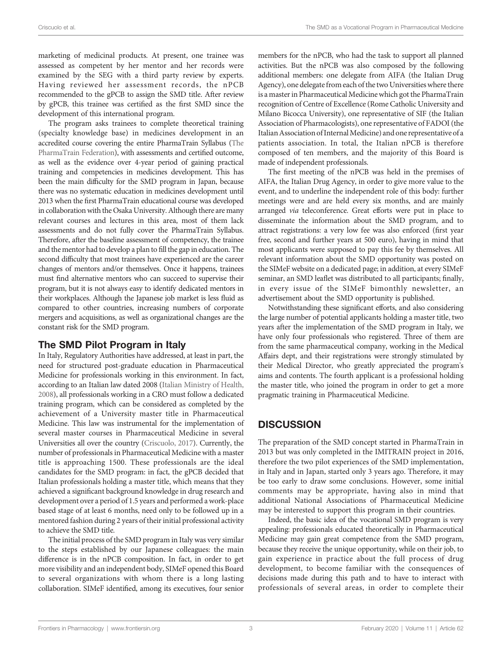marketing of medicinal products. At present, one trainee was assessed as competent by her mentor and her records were examined by the SEG with a third party review by experts. Having reviewed her assessment records, the nPCB recommended to the gPCB to assign the SMD title. After review by gPCB, this trainee was certified as the first SMD since the development of this international program.

The program asks trainees to complete theoretical training (specialty knowledge base) in medicines development in an accredited course covering the entire PharmaTrain Syllabus ([The](#page-3-0) [PharmaTrain Federation\)](#page-3-0), with assessments and certified outcome, as well as the evidence over 4-year period of gaining practical training and competencies in medicines development. This has been the main difficulty for the SMD program in Japan, because there was no systematic education in medicines development until 2013 when the first PharmaTrain educational course was developed in collaboration with the Osaka University. Although there are many relevant courses and lectures in this area, most of them lack assessments and do not fully cover the PharmaTrain Syllabus. Therefore, after the baseline assessment of competency, the trainee and the mentor had to develop a plan to fill the gap in education. The second difficulty that most trainees have experienced are the career changes of mentors and/or themselves. Once it happens, trainees must find alternative mentors who can succeed to supervise their program, but it is not always easy to identify dedicated mentors in their workplaces. Although the Japanese job market is less fluid as compared to other countries, increasing numbers of corporate mergers and acquisitions, as well as organizational changes are the constant risk for the SMD program.

# The SMD Pilot Program in Italy

In Italy, Regulatory Authorities have addressed, at least in part, the need for structured post-graduate education in Pharmaceutical Medicine for professionals working in this environment. In fact, according to an Italian law dated 2008 [\(Italian Ministry of Health,](#page-3-0) [2008](#page-3-0)), all professionals working in a CRO must follow a dedicated training program, which can be considered as completed by the achievement of a University master title in Pharmaceutical Medicine. This law was instrumental for the implementation of several master courses in Pharmaceutical Medicine in several Universities all over the country [\(Criscuolo, 2017\)](#page-3-0). Currently, the number of professionals in Pharmaceutical Medicine with a master title is approaching 1500. These professionals are the ideal candidates for the SMD program: in fact, the gPCB decided that Italian professionals holding a master title, which means that they achieved a significant background knowledge in drug research and development over a period of 1.5 years and performed a work-place based stage of at least 6 months, need only to be followed up in a mentored fashion during 2 years of their initial professional activity to achieve the SMD title.

The initial process of the SMD program in Italy was very similar to the steps established by our Japanese colleagues: the main difference is in the nPCB composition. In fact, in order to get more visibility and an independent body, SIMeF opened this Board to several organizations with whom there is a long lasting collaboration. SIMeF identified, among its executives, four senior members for the nPCB, who had the task to support all planned activities. But the nPCB was also composed by the following additional members: one delegate from AIFA (the Italian Drug Agency), one delegate from each of the two Universities where there is a master in Pharmaceutical Medicine which got the PharmaTrain recognition of Centre of Excellence (Rome Catholic University and Milano Bicocca University), one representative of SIF (the Italian Association of Pharmacologists), one representative of FADOI (the Italian Association of Internal Medicine) and one representative of a patients association. In total, the Italian nPCB is therefore composed of ten members, and the majority of this Board is made of independent professionals.

The first meeting of the nPCB was held in the premises of AIFA, the Italian Drug Agency, in order to give more value to the event, and to underline the independent role of this body: further meetings were and are held every six months, and are mainly arranged via teleconference. Great efforts were put in place to disseminate the information about the SMD program, and to attract registrations: a very low fee was also enforced (first year free, second and further years at 500 euro), having in mind that most applicants were supposed to pay this fee by themselves. All relevant information about the SMD opportunity was posted on the SIMeF website on a dedicated page; in addition, at every SIMeF seminar, an SMD leaflet was distributed to all participants; finally, in every issue of the SIMeF bimonthly newsletter, an advertisement about the SMD opportunity is published.

Notwithstanding these significant efforts, and also considering the large number of potential applicants holding a master title, two years after the implementation of the SMD program in Italy, we have only four professionals who registered. Three of them are from the same pharmaceutical company, working in the Medical Affairs dept, and their registrations were strongly stimulated by their Medical Director, who greatly appreciated the program's aims and contents. The fourth applicant is a professional holding the master title, who joined the program in order to get a more pragmatic training in Pharmaceutical Medicine.

# **DISCUSSION**

The preparation of the SMD concept started in PharmaTrain in 2013 but was only completed in the IMITRAIN project in 2016, therefore the two pilot experiences of the SMD implementation, in Italy and in Japan, started only 3 years ago. Therefore, it may be too early to draw some conclusions. However, some initial comments may be appropriate, having also in mind that additional National Associations of Pharmaceutical Medicine may be interested to support this program in their countries.

Indeed, the basic idea of the vocational SMD program is very appealing: professionals educated theoretically in Pharmaceutical Medicine may gain great competence from the SMD program, because they receive the unique opportunity, while on their job, to gain experience in practice about the full process of drug development, to become familiar with the consequences of decisions made during this path and to have to interact with professionals of several areas, in order to complete their